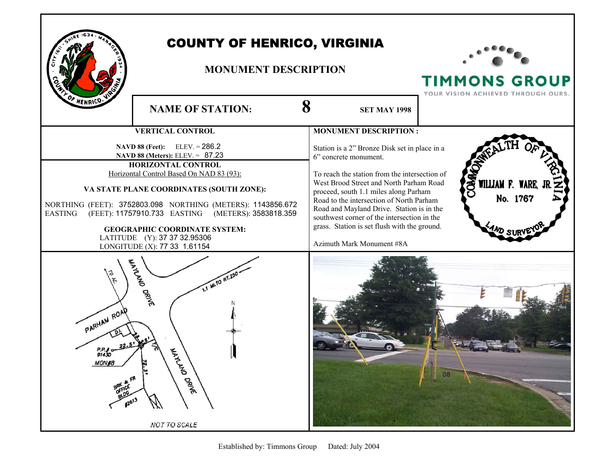

## COUNTY OF HENRICO, VIRGINIA

## **MONUMENT DESCRIPTION**



**TIMMONS GROUP** 

|                                                           |                                                                                                                                                                                                                                                                                                                                                                                                                                  |                                                                                                                                                                                                                                                                                                                                                                                                                                  | YOUR VISION ACHIEVED THROUGH OURS.                                             |
|-----------------------------------------------------------|----------------------------------------------------------------------------------------------------------------------------------------------------------------------------------------------------------------------------------------------------------------------------------------------------------------------------------------------------------------------------------------------------------------------------------|----------------------------------------------------------------------------------------------------------------------------------------------------------------------------------------------------------------------------------------------------------------------------------------------------------------------------------------------------------------------------------------------------------------------------------|--------------------------------------------------------------------------------|
| <b>ANY OF HENRICO. V</b>                                  | <b>NAME OF STATION:</b>                                                                                                                                                                                                                                                                                                                                                                                                          | 8<br><b>SET MAY 1998</b>                                                                                                                                                                                                                                                                                                                                                                                                         |                                                                                |
| <b>VERTICAL CONTROL</b>                                   |                                                                                                                                                                                                                                                                                                                                                                                                                                  | <b>MONUMENT DESCRIPTION:</b>                                                                                                                                                                                                                                                                                                                                                                                                     |                                                                                |
| <b>EASTING</b>                                            | $ELEV = 286.2$<br><b>NAVD 88 (Feet):</b><br>NAVD 88 (Meters): ELEV. = 87.23<br><b>HORIZONTAL CONTROL</b><br>Horizontal Control Based On NAD 83 (93):<br>VA STATE PLANE COORDINATES (SOUTH ZONE):<br>NORTHING (FEET): 3752803.098 NORTHING (METERS): 1143856.672<br>(FEET): 11757910.733 EASTING<br>(METERS): 3583818.359<br><b>GEOGRAPHIC COORDINATE SYSTEM:</b><br>LATITUDE (Y): 37 37 32.95306<br>LONGITUDE (X): 77 33 1.61154 | Station is a 2" Bronze Disk set in place in a<br>6" concrete monument.<br>To reach the station from the intersection of<br>West Brood Street and North Parham Road<br>proceed, south 1.1 miles along Parham<br>Road to the intersection of North Parham<br>Road and Mayland Drive. Station is in the<br>southwest corner of the intersection in the<br>grass. Station is set flush with the ground.<br>Azimuth Mark Monument #8A | COMMO <sub>NATIO</sub><br>WILLIAM F. WARE, JF<br>No. 1767<br><b>EAND SURVE</b> |
| ô<br>Ã<br>PARHAM ROAD<br>P.P.J o-<br>91430<br><b>MON#</b> | WATLAND<br>MLTO RT.250<br>DRIVE<br>MATALAND<br><b>DRIVE</b><br>NOT TO SCALE                                                                                                                                                                                                                                                                                                                                                      |                                                                                                                                                                                                                                                                                                                                                                                                                                  |                                                                                |